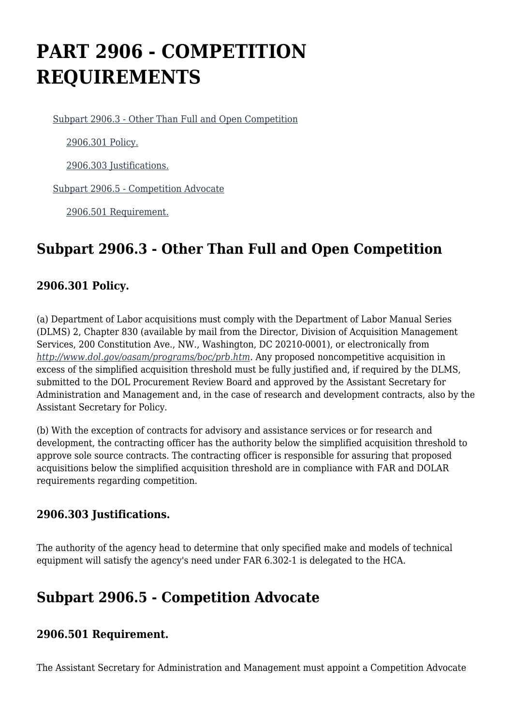# **PART 2906 - COMPETITION REQUIREMENTS**

[Subpart 2906.3 - Other Than Full and Open Competition](https://www.acquisition.gov/%5Brp:link:dolar-part-2906%5D#Subpart_2906_3_T48_701271)

[2906.301 Policy.](https://www.acquisition.gov/%5Brp:link:dolar-part-2906%5D#Section_2906_301_T48_70127111)

[2906.303 Justifications.](https://www.acquisition.gov/%5Brp:link:dolar-part-2906%5D#Section_2906_303_T48_70127112)

[Subpart 2906.5 - Competition Advocate](https://www.acquisition.gov/%5Brp:link:dolar-part-2906%5D#Subpart_2906_5_T48_701272)

[2906.501 Requirement.](https://www.acquisition.gov/%5Brp:link:dolar-part-2906%5D#Section_2906_501_T48_70127211)

## **Subpart 2906.3 - Other Than Full and Open Competition**

#### **2906.301 Policy.**

(a) Department of Labor acquisitions must comply with the Department of Labor Manual Series (DLMS) 2, Chapter 830 (available by mail from the Director, Division of Acquisition Management Services, 200 Constitution Ave., NW., Washington, DC 20210-0001), or electronically from *<http://www.dol.gov/oasam/programs/boc/prb.htm>.* Any proposed noncompetitive acquisition in excess of the simplified acquisition threshold must be fully justified and, if required by the DLMS, submitted to the DOL Procurement Review Board and approved by the Assistant Secretary for Administration and Management and, in the case of research and development contracts, also by the Assistant Secretary for Policy.

(b) With the exception of contracts for advisory and assistance services or for research and development, the contracting officer has the authority below the simplified acquisition threshold to approve sole source contracts. The contracting officer is responsible for assuring that proposed acquisitions below the simplified acquisition threshold are in compliance with FAR and DOLAR requirements regarding competition.

#### **2906.303 Justifications.**

The authority of the agency head to determine that only specified make and models of technical equipment will satisfy the agency's need under FAR 6.302-1 is delegated to the HCA.

### **Subpart 2906.5 - Competition Advocate**

#### **2906.501 Requirement.**

The Assistant Secretary for Administration and Management must appoint a Competition Advocate